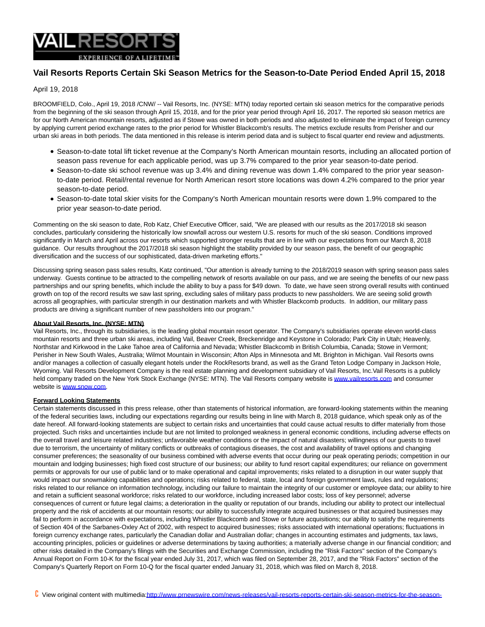

## **Vail Resorts Reports Certain Ski Season Metrics for the Season-to-Date Period Ended April 15, 2018**

## April 19, 2018

BROOMFIELD, Colo., April 19, 2018 /CNW/ -- Vail Resorts, Inc. (NYSE: MTN) today reported certain ski season metrics for the comparative periods from the beginning of the ski season through April 15, 2018, and for the prior year period through April 16, 2017. The reported ski season metrics are for our North American mountain resorts, adjusted as if Stowe was owned in both periods and also adjusted to eliminate the impact of foreign currency by applying current period exchange rates to the prior period for Whistler Blackcomb's results. The metrics exclude results from Perisher and our urban ski areas in both periods. The data mentioned in this release is interim period data and is subject to fiscal quarter end review and adjustments.

- Season-to-date total lift ticket revenue at the Company's North American mountain resorts, including an allocated portion of season pass revenue for each applicable period, was up 3.7% compared to the prior year season-to-date period.
- Season-to-date ski school revenue was up 3.4% and dining revenue was down 1.4% compared to the prior year seasonto-date period. Retail/rental revenue for North American resort store locations was down 4.2% compared to the prior year season-to-date period.
- Season-to-date total skier visits for the Company's North American mountain resorts were down 1.9% compared to the prior year season-to-date period.

Commenting on the ski season to date, Rob Katz, Chief Executive Officer, said, "We are pleased with our results as the 2017/2018 ski season concludes, particularly considering the historically low snowfall across our western U.S. resorts for much of the ski season. Conditions improved significantly in March and April across our resorts which supported stronger results that are in line with our expectations from our March 8, 2018 guidance. Our results throughout the 2017/2018 ski season highlight the stability provided by our season pass, the benefit of our geographic diversification and the success of our sophisticated, data-driven marketing efforts."

Discussing spring season pass sales results, Katz continued, "Our attention is already turning to the 2018/2019 season with spring season pass sales underway. Guests continue to be attracted to the compelling network of resorts available on our pass, and we are seeing the benefits of our new pass partnerships and our spring benefits, which include the ability to buy a pass for \$49 down. To date, we have seen strong overall results with continued growth on top of the record results we saw last spring, excluding sales of military pass products to new passholders. We are seeing solid growth across all geographies, with particular strength in our destination markets and with Whistler Blackcomb products. In addition, our military pass products are driving a significant number of new passholders into our program."

## **About Vail Resorts, Inc. (NYSE: MTN)**

Vail Resorts, Inc., through its subsidiaries, is the leading global mountain resort operator. The Company's subsidiaries operate eleven world-class mountain resorts and three urban ski areas, including Vail, Beaver Creek, Breckenridge and Keystone in Colorado; Park City in Utah; Heavenly, Northstar and Kirkwood in the Lake Tahoe area of California and Nevada; Whistler Blackcomb in British Columbia, Canada; Stowe in Vermont; Perisher in New South Wales, Australia; Wilmot Mountain in Wisconsin; Afton Alps in Minnesota and Mt. Brighton in Michigan. Vail Resorts owns and/or manages a collection of casually elegant hotels under the RockResorts brand, as well as the Grand Teton Lodge Company in Jackson Hole, Wyoming. Vail Resorts Development Company is the real estate planning and development subsidiary of Vail Resorts, Inc.Vail Resorts is a publicly held company traded on the New York Stock Exchange (NYSE: MTN). The Vail Resorts company website is [www.vailresorts.com a](http://www.vailresorts.com/)nd consumer website is [www.snow.com.](http://www.snow.com/)

## **Forward Looking Statements**

Certain statements discussed in this press release, other than statements of historical information, are forward-looking statements within the meaning of the federal securities laws, including our expectations regarding our results being in line with March 8, 2018 guidance, which speak only as of the date hereof. All forward-looking statements are subject to certain risks and uncertainties that could cause actual results to differ materially from those projected. Such risks and uncertainties include but are not limited to prolonged weakness in general economic conditions, including adverse effects on the overall travel and leisure related industries; unfavorable weather conditions or the impact of natural disasters; willingness of our guests to travel due to terrorism, the uncertainty of military conflicts or outbreaks of contagious diseases, the cost and availability of travel options and changing consumer preferences; the seasonality of our business combined with adverse events that occur during our peak operating periods; competition in our mountain and lodging businesses; high fixed cost structure of our business; our ability to fund resort capital expenditures; our reliance on government permits or approvals for our use of public land or to make operational and capital improvements; risks related to a disruption in our water supply that would impact our snowmaking capabilities and operations; risks related to federal, state, local and foreign government laws, rules and regulations; risks related to our reliance on information technology, including our failure to maintain the integrity of our customer or employee data; our ability to hire and retain a sufficient seasonal workforce; risks related to our workforce, including increased labor costs; loss of key personnel; adverse consequences of current or future legal claims; a deterioration in the quality or reputation of our brands, including our ability to protect our intellectual property and the risk of accidents at our mountain resorts; our ability to successfully integrate acquired businesses or that acquired businesses may fail to perform in accordance with expectations, including Whistler Blackcomb and Stowe or future acquisitions; our ability to satisfy the requirements of Section 404 of the Sarbanes-Oxley Act of 2002, with respect to acquired businesses; risks associated with international operations; fluctuations in foreign currency exchange rates, particularly the Canadian dollar and Australian dollar; changes in accounting estimates and judgments, tax laws, accounting principles, policies or guidelines or adverse determinations by taxing authorities; a materially adverse change in our financial condition; and other risks detailed in the Company's filings with the Securities and Exchange Commission, including the "Risk Factors" section of the Company's Annual Report on Form 10-K for the fiscal year ended July 31, 2017, which was filed on September 28, 2017, and the "Risk Factors" section of the Company's Quarterly Report on Form 10-Q for the fiscal quarter ended January 31, 2018, which was filed on March 8, 2018.